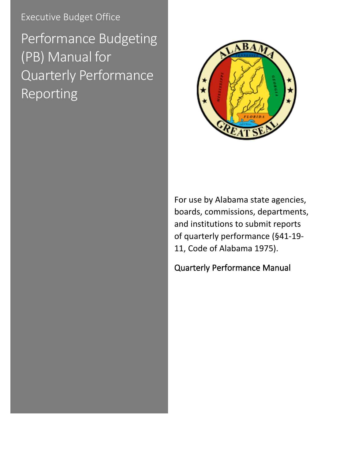Executive Budget Office

Performance Budgeting (PB) Manual for Quarterly Performance Reporting



For use by Alabama state agencies, boards, commissions, departments, and institutions to submit reports of quarterly performance (§41-19- 11, Code of Alabama 1975).

<span id="page-0-0"></span>Quarterly Performance Manual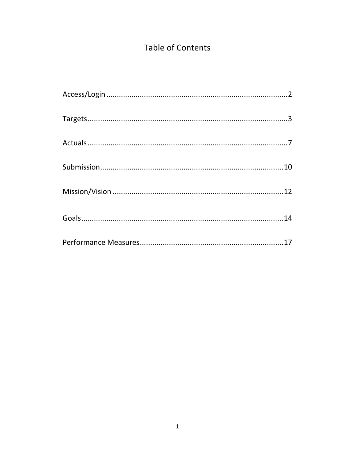# Table of Contents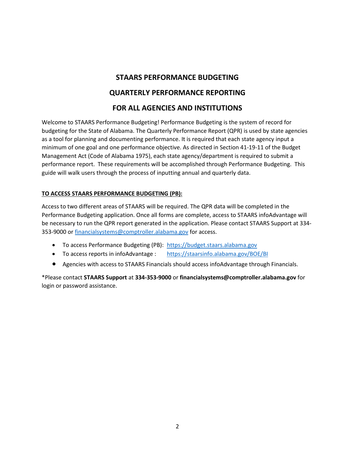## **STAARS PERFORMANCE BUDGETING**

## **QUARTERLY PERFORMANCE REPORTING**

## **FOR ALL AGENCIES AND INSTITUTIONS**

Welcome to STAARS Performance Budgeting! Performance Budgeting is the system of record for budgeting for the State of Alabama. The Quarterly Performance Report (QPR) is used by state agencies as a tool for planning and documenting performance. It is required that each state agency input a minimum of one goal and one performance objective. As directed in Section 41-19-11 of the Budget Management Act (Code of Alabama 1975), each state agency/department is required to submit a performance report. These requirements will be accomplished through Performance Budgeting. This guide will walk users through the process of inputting annual and quarterly data.

## **TO ACCESS STAARS PERFORMANCE BUDGETING (PB):**

Access to two different areas of STAARS will be required. The QPR data will be completed in the Performance Budgeting application. Once all forms are complete, access to STAARS infoAdvantage will be necessary to run the QPR report generated in the application. Please contact STAARS Support at 334 353-9000 or [financialsystems@comptroller.alabama.gov](mailto:financialsystems@comptroller.alabama.gov) for access.

- To access Performance Budgeting (PB): [https://budget.staars.alabama.gov](https://budget.staars.alabama.gov/)
- To access reports in infoAdvantage : <https://staarsinfo.alabama.gov/BOE/BI>
- Agencies with access to STAARS Financials should access infoAdvantage through Financials.

\*Please contact **STAARS Support** at **334-353-9000** or **financialsystems@comptroller.alabama.gov** for login or password assistance.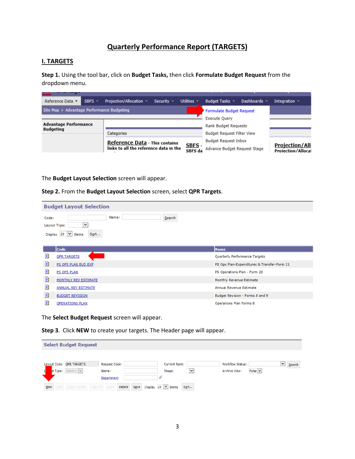## **Quarterly Performance Report (TARGETS)**

#### **I. TARGETS**

**Step 1.** Using the tool bar, click on **Budget Tasks,** then click **Formulate Budget Request** from the dropdown menu.

| Reference Data ▼<br>SBFS $=$               | Projection/Allocation =<br>Security $\sqrt{ }$ | Utilities $\overline{\phantom{a}}$ | Budget Tasks $\sqrt{ }$<br>Dashboards $\sim$ | Integration $\overline{\phantom{a}}$               |
|--------------------------------------------|------------------------------------------------|------------------------------------|----------------------------------------------|----------------------------------------------------|
| Site Map > Advantage Performance Budgeting |                                                |                                    | <b>Formulate Budget Request</b>              |                                                    |
|                                            |                                                |                                    | Execute Ouery                                |                                                    |
| <b>Advantage Performance</b>               |                                                |                                    | Rank Budget Requests                         |                                                    |
| <b>Budgeting</b>                           | Categories                                     |                                    | Budget Request Filter View                   |                                                    |
|                                            | Reference Data - This contains                 |                                    | Budget Reguest Inbox                         |                                                    |
|                                            | links to all the reference data in the         | SBFS -<br>SBES da                  | Advance Budget Request Stage                 | <b>Projection/All</b><br><b>Projection/Allocat</b> |

The **Budget Layout Selection** screen will appear.

#### **Step 2.** From the **Budget Layout Selection** screen, select **QPR Targets**.

| <b>Budget Layout Selection</b>                                                                          |                                             |  |  |  |
|---------------------------------------------------------------------------------------------------------|---------------------------------------------|--|--|--|
| Name:<br>Search<br>Code:<br>$\checkmark$<br>Layout Type:<br>Display 20 $\vert \vee \vert$ Items<br>Sort |                                             |  |  |  |
| Code                                                                                                    | <b>Name</b>                                 |  |  |  |
| Đ<br><b>OPR TARGETS</b>                                                                                 | <b>Quarterly Performance Targets</b>        |  |  |  |
| Đ<br>PS OPS PLAN BUD EXP                                                                                | PS Ops Plan-Expenditures & Transfer-Form 21 |  |  |  |
| Đ<br>PS OPS PLAN                                                                                        | PS Operations Plan - Form 20                |  |  |  |
| D<br><b>MONTHLY REV ESTIMATE</b>                                                                        | Monthly Revenue Estimate                    |  |  |  |
| D<br><b>ANNUAL REV ESTIMATE</b>                                                                         | Annual Revenue Estimate                     |  |  |  |
| Đ<br><b>BUDGET REVISION</b>                                                                             | Budget Revision - Forms 8 and 9             |  |  |  |
| Đ<br><b>OPERATIONS PLAN</b>                                                                             | <b>Operations Plan Forms 8</b>              |  |  |  |

The **Select Budget Request** screen will appear.

**Step 3**. Click **NEW** to create your targets. The Header page will appear.

|            | <b>Select Budget Request</b>       |                      |                                 |                         |                            |        |
|------------|------------------------------------|----------------------|---------------------------------|-------------------------|----------------------------|--------|
|            |                                    |                      |                                 |                         |                            |        |
|            | Layout Code: QPR TARGETS           | <b>Request Code:</b> | <b>Current Rank:</b>            | <b>Workflow Status:</b> | $\checkmark$               | Search |
|            | t Type: Generic V                  | Name:                | M<br>Stage:                     | Archive View:           | False $\blacktriangledown$ |        |
|            |                                    | Department:          |                                 |                         |                            |        |
| <b>New</b> | Edit Copy Header   Copy All   View | Delete<br>Save       | Display 20 $\vee$ Items<br>Sort |                         |                            |        |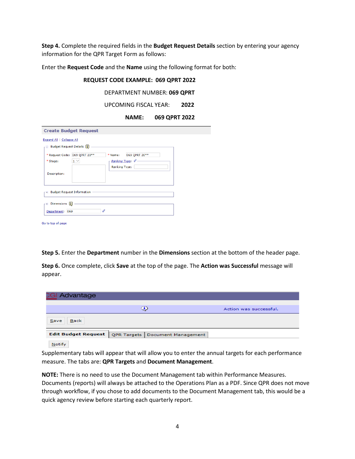**Step 4.** Complete the required fields in the **Budget Request Details** section by entering your agency information for the QPR Target Form as follows:

Enter the **Request Code** and the **Name** using the following format for both:

## **REQUEST CODE EXAMPLE: 069 QPRT 2022** DEPARTMENT NUMBER: **069 QPRT** UPCOMING FISCAL YEAR: **2022 NAME: 069 QPRT 2022 Create Budget Request** Expand All | Collapse All Budget Request Details [1] \* Request Code: 069 QPRT 20\*\* \* Name: 069 QPRT 20\*\*  $*$  Stage:  $1 -$ Ranking Type: 4-**Ranking Type:** Description: □ Budget Request Information - $\overline{=}$  Dimensions  $\overline{1}$  $\overline{\mathscr{L}}$ Department: 069

Go to top of page

**Step 5.** Enter the **Department** number in the **Dimensions** section at the bottom of the header page.

**Step 6.** Once complete, click **Save** at the top of the page. The **Action was Successful** message will appear.

| <b>GI Advantage</b>        |                                   |                        |
|----------------------------|-----------------------------------|------------------------|
|                            | Э                                 | Action was successful. |
| <b>Back</b><br>Save        |                                   |                        |
| <b>Edit Budget Request</b> | QPR Targets   Document Management |                        |
| <b>Notify</b>              |                                   |                        |

Supplementary tabs will appear that will allow you to enter the annual targets for each performance measure. The tabs are: **QPR Targets** and **Document Management**.

**NOTE:** There is no need to use the Document Management tab within Performance Measures. Documents (reports) will always be attached to the Operations Plan as a PDF. Since QPR does not move through workflow, if you chose to add documents to the Document Management tab, this would be a quick agency review before starting each quarterly report.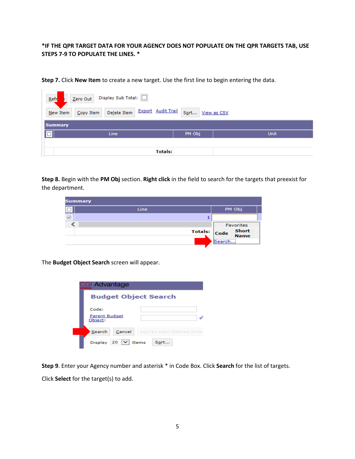### **\*IF THE QPR TARGET DATA FOR YOUR AGENCY DOES NOT POPULATE ON THE QPR TARGETS TAB, USE STEPS 7-9 TO POPULATE THE LINES. \***

**Step 7.** Click **New Item** to create a new target. Use the first line to begin entering the data.

| $Refr$         | Zero Out Display Sub Total: |      |                                                 |        |             |
|----------------|-----------------------------|------|-------------------------------------------------|--------|-------------|
| New Item       | Copy Item                   |      | Delete Item Export Audit Trail Sort View as CSV |        |             |
| <b>Summary</b> |                             |      |                                                 |        |             |
|                |                             | Line |                                                 | PM Obj | <b>Unit</b> |
|                |                             |      |                                                 |        |             |
|                |                             |      | <b>Totals:</b>                                  |        |             |

**Step 8.** Begin with the **PM Obj** section. **Right click** in the field to search for the targets that preexist for the department.

| <b>Summary</b> |      |              |        |                  |
|----------------|------|--------------|--------|------------------|
|                | Line |              |        | PM Obj           |
| $\checkmark$   |      |              |        |                  |
|                |      |              |        | <b>Favorites</b> |
|                |      | Totals: Code |        | Short<br>Name    |
|                |      |              | Search |                  |

The **Budget Object Search** screen will appear.

| CGI Advantage                                        |  |  |  |  |
|------------------------------------------------------|--|--|--|--|
| <b>Budget Object Search</b>                          |  |  |  |  |
| Code:                                                |  |  |  |  |
| <b>Parent Budget</b><br>Object:                      |  |  |  |  |
| Cancel<br>Search<br>Sort by User-Defined Order       |  |  |  |  |
| $ 20 \rangle$ $\vee$ Items<br><b>Display</b><br>Sort |  |  |  |  |

**Step 9**. Enter your Agency number and asterisk \* in Code Box. Click **Search** for the list of targets.

Click **Select** for the target(s) to add.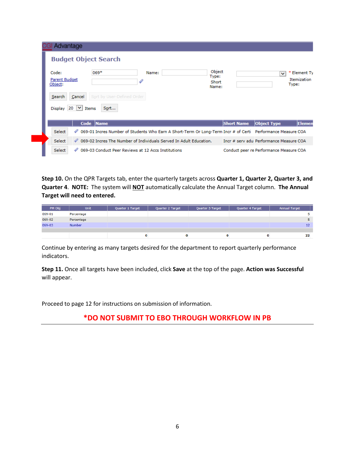| Advantage                    |                                                     |                                                                                                             |                   |                                         |
|------------------------------|-----------------------------------------------------|-------------------------------------------------------------------------------------------------------------|-------------------|-----------------------------------------|
| <b>Budget Object Search</b>  |                                                     |                                                                                                             |                   |                                         |
| Code:                        | 069*                                                | Name:                                                                                                       | Object<br>Type:   | * Element Ty<br>$\checkmark$            |
| Parent Budget<br>Object:     |                                                     |                                                                                                             | Short<br>Name:    | <b>Itemization</b><br>Type:             |
| Search<br>Cancel             | Sort by User-Defined Order                          |                                                                                                             |                   |                                         |
| Display $20 \,$ $\vee$ Items | Sort                                                |                                                                                                             |                   |                                         |
|                              | Code Name                                           |                                                                                                             | <b>Short Name</b> | Elemen<br><b>Object Type</b>            |
| Select<br>4                  |                                                     | 069-01 Incres Number of Students Who Earn A Short-Term Or Long-Term Incr # of Certi Performance Measure COA |                   |                                         |
| Select                       |                                                     | <i>♦</i> 069-02 Incres The Number of Individuals Served In Adult Education.                                 |                   | Tocr # serv adu Performance Measure COA |
| Select<br>4                  | 069-03 Conduct Peer Reviews at 12 Accs Institutions |                                                                                                             |                   | Conduct peer re Performance Measure COA |

**Step 10.** On the QPR Targets tab, enter the quarterly targets across **Quarter 1, Quarter 2, Quarter 3, and Quarter 4**. **NOTE:** The system will **NOT** automatically calculate the Annual Target column. **The Annual Target will need to entered.** 

| PM Obj | <b>Unit</b>   | Quarter 1 Target | Quarter 2 Target | Quarter 3 Target | Quarter 4 Target | <b>Annual Target</b> |
|--------|---------------|------------------|------------------|------------------|------------------|----------------------|
| 069-01 | Percentage    |                  |                  |                  |                  |                      |
| 069-02 | Percentage    |                  |                  |                  |                  |                      |
| 069-03 | <b>Number</b> |                  |                  |                  |                  | 12                   |
|        |               |                  |                  |                  |                  |                      |
|        |               |                  | 0                |                  | $\bf{o}$         | 22                   |

Continue by entering as many targets desired for the department to report quarterly performance indicators.

**Step 11.** Once all targets have been included, click **Save** at the top of the page. **Action was Successful** will appear.

Proceed to page 12 for instructions on submission of information.

## **\*DO NOT SUBMIT TO EBO THROUGH WORKFLOW IN PB**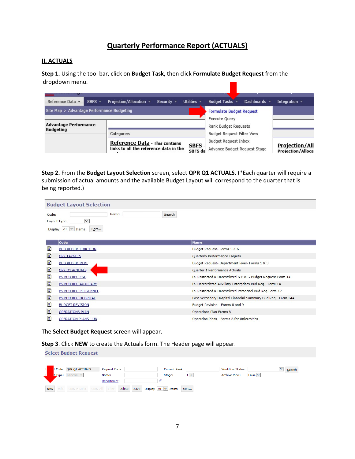## **Quarterly Performance Report (ACTUALS)**

#### **II. ACTUALS**

**Step 1.** Using the tool bar, click on **Budget Task,** then click **Formulate Budget Request** from the dropdown menu.

| Reference Data v<br>$SBFS -$                     | Projection/Allocation *<br>Security $\sqrt{ }$ | Utilities $\overline{\phantom{a}}$ | Budget Tasks =                    | Dashboards = | Integration $\sim$                                 |
|--------------------------------------------------|------------------------------------------------|------------------------------------|-----------------------------------|--------------|----------------------------------------------------|
| Site Map > Advantage Performance Budgeting       |                                                |                                    | <b>Formulate Budget Request</b>   |              |                                                    |
|                                                  |                                                |                                    | <b>Execute Ouery</b>              |              |                                                    |
| <b>Advantage Performance</b><br><b>Budgeting</b> |                                                |                                    | Rank Budget Requests              |              |                                                    |
|                                                  | Categories                                     |                                    | <b>Budget Request Filter View</b> |              |                                                    |
|                                                  | <b>Reference Data - This contains</b>          |                                    | <b>Budget Request Inbox</b>       |              |                                                    |
|                                                  | links to all the reference data in the         | SBFS -<br>SBFS da                  | Advance Budget Request Stage      |              | <b>Projection/All</b><br><b>Projection/Allocat</b> |

**Step 2.** From the **Budget Layout Selection** screen, select **QPR Q1 ACTUALS**. (\*Each quarter will require a submission of actual amounts and the available Budget Layout will correspond to the quarter that is being reported.)

|       | <b>Budget Layout Selection</b>                                                     |                                                              |  |  |
|-------|------------------------------------------------------------------------------------|--------------------------------------------------------------|--|--|
| Code: | Name:<br>Search<br>$\checkmark$<br>Layout Type:<br>Display 20 $\vee$ Items<br>Sort |                                                              |  |  |
|       | Code                                                                               | <b>Name</b>                                                  |  |  |
| 目     | <b>BUD REQ BY FUNCTION</b>                                                         | Budget Request- Forms 5 & 6                                  |  |  |
| ₿     | <b>OPR TARGETS</b>                                                                 | Quarterly Performance Targets                                |  |  |
| 目     | <b>BUD REQ BY DEPT</b>                                                             | Budget Request- Department level- Forms 1 & 3                |  |  |
| 目     | <b>OPR Q1 ACTUALS</b>                                                              | Quarter 1 Performance Actuals                                |  |  |
| 目     | PS BUD REQ E&G                                                                     | PS Restricted & Unrestricted & E & G Budget Request-Form 14  |  |  |
| 目     | PS BUD REQ AUXILIARY                                                               | PS Unrestricted Auxiliary Enterprises Bud Req - Form 14      |  |  |
| 目     | PS BUD REQ PERSONNEL                                                               | PS Restricted & Unrestricted Personnel Bud Req-Form 17       |  |  |
| 目     | PS BUD REQ HOSPITAL                                                                | Post Secondary Hospital Financial Summary Bud Req - Form 14A |  |  |
| 目     | <b>BUDGET REVISION</b>                                                             | Budget Revision - Forms 8 and 9                              |  |  |
| 目     | <b>OPERATIONS PLAN</b>                                                             | Operations Plan Forms 8                                      |  |  |
| 目     | <b>OPERATION PLANS - UN</b>                                                        | Operation Plans - Forms 8 for Universities                   |  |  |

The **Select Budget Request** screen will appear.

**Step 3**. Click **NEW** to create the Actuals form. The Header page will appear.

|     | <b>Select Budget Request</b>         |                                   |                      |                         |              |        |
|-----|--------------------------------------|-----------------------------------|----------------------|-------------------------|--------------|--------|
|     | t Code: QPR Q1 ACTUALS               | <b>Request Code:</b>              | <b>Current Rank:</b> | <b>Workflow Status:</b> | $\checkmark$ | Search |
|     | t Type: Generic V                    | Name:                             | $1 -$<br>Stage:      | <b>Archive View:</b>    | False $ v $  |        |
|     |                                      | Department:                       |                      |                         |              |        |
| New | Edit   Copy Header   Copy All   View | Save Display 20 V Items<br>Delete | Sort                 |                         |              |        |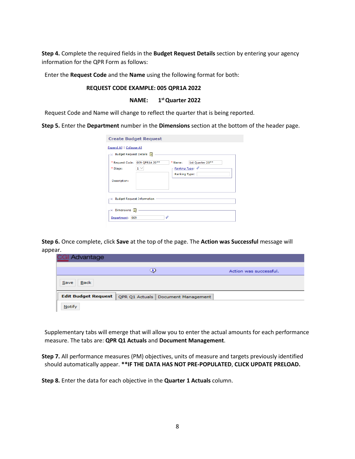**Step 4.** Complete the required fields in the **Budget Request Details** section by entering your agency information for the QPR Form as follows:

Enter the **Request Code** and the **Name** using the following format for both:

#### **REQUEST CODE EXAMPLE: 005 QPR1A 2022**

#### **NAME: 1st Quarter 2022**

Request Code and Name will change to reflect the quarter that is being reported.

**Step 5.** Enter the **Department** number in the **Dimensions** section at the bottom of the header page.

| <b>Create Budget Request</b>                                                                                         |          |                                                    |                  |  |  |  |
|----------------------------------------------------------------------------------------------------------------------|----------|----------------------------------------------------|------------------|--|--|--|
| <b>Expand All   Collapse All</b><br>$\Gamma =$ Budget Request Details $\begin{bmatrix} \cdot \\ \cdot \end{bmatrix}$ |          |                                                    |                  |  |  |  |
| * Request Code: 069 OPR1A 20**<br>* Stage:                                                                           | $1 \vee$ | * Name:<br>Ranking Type: 4<br><b>Ranking Type:</b> | 1st Quarter 20** |  |  |  |
| Description:                                                                                                         |          |                                                    |                  |  |  |  |
| Fig. Budget Request Information                                                                                      |          |                                                    |                  |  |  |  |
| Dimensions  <br>Department: 069                                                                                      |          |                                                    |                  |  |  |  |

**Step 6.** Once complete, click **Save** at the top of the page. The **Action was Successful** message will appear.

| al Advantage               |                                    |                        |
|----------------------------|------------------------------------|------------------------|
|                            | ⊙                                  | Action was successful. |
| Back<br>Save               |                                    |                        |
| <b>Edit Budget Request</b> | QPR Q1 Actuals Document Management |                        |
| <b>Notify</b>              |                                    |                        |

Supplementary tabs will emerge that will allow you to enter the actual amounts for each performance measure. The tabs are: **QPR Q1 Actuals** and **Document Management**.

**Step 7.** All performance measures (PM) objectives, units of measure and targets previously identified should automatically appear. **\*\*IF THE DATA HAS NOT PRE-POPULATED**, **CLICK UPDATE PRELOAD.**

**Step 8.** Enter the data for each objective in the **Quarter 1 Actuals** column.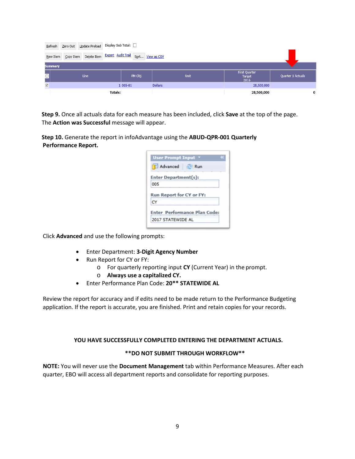| Refresh                 | Zero Out   Update Preload   Display Sub Total: |                                                 |                |                                 |                   |
|-------------------------|------------------------------------------------|-------------------------------------------------|----------------|---------------------------------|-------------------|
| New Item                | Copy Item                                      | Delete Item Export Audit Trail Sort View as CSV |                |                                 |                   |
| <b>Summary</b>          |                                                |                                                 |                |                                 |                   |
| $\overline{\Box}$       | Line                                           | PM Obj                                          | Unit           | First Quarter<br>Target<br>2016 | Quarter 1 Actuals |
| $\overline{\mathsf{v}}$ |                                                | 1 005-01                                        | <b>Dollars</b> | 28,500,000                      |                   |
|                         |                                                | <b>Totals:</b>                                  |                | 28,500,000                      | 0                 |

**Step 9.** Once all actuals data for each measure has been included, click **Save** at the top of the page. The **Action was Successful** message will appear.

**Step 10.** Generate the report in infoAdvantage using the **ABUD-QPR-001 Quarterly Performance Report.**

| User Prompt Input *  |                                     |  |
|----------------------|-------------------------------------|--|
| Advanced a Run       |                                     |  |
| Enter Department(s): |                                     |  |
| 005                  |                                     |  |
|                      |                                     |  |
|                      | <b>Run Report for CV or FY:</b>     |  |
| CY                   |                                     |  |
|                      | <b>Enter Performance Plan Code:</b> |  |

Click **Advanced** and use the following prompts:

- Enter Department: **3-Digit Agency Number**
- Run Report for CY or FY:
	- o For quarterly reporting input **CY** (Current Year) in the prompt.
	- o **Always use a capitalized CY.**
- Enter Performance Plan Code: **20\*\* STATEWIDE AL**

Review the report for accuracy and if edits need to be made return to the Performance Budgeting application. If the report is accurate, you are finished. Print and retain copies for your records.

#### **YOU HAVE SUCCESSFULLY COMPLETED ENTERING THE DEPARTMENT ACTUALS.**

#### **\*\*DO NOT SUBMIT THROUGH WORKFLOW\*\***

**NOTE:** You will never use the **Document Management** tab within Performance Measures. After each quarter, EBO will access all department reports and consolidate for reporting purposes.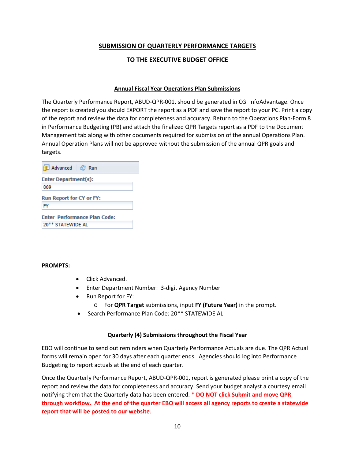## **SUBMISSION OF QUARTERLY PERFORMANCE TARGETS**

## **TO THE EXECUTIVE BUDGET OFFICE**

#### **Annual Fiscal Year Operations Plan Submissions**

The Quarterly Performance Report, ABUD-QPR-001, should be generated in CGI InfoAdvantage. Once the report is created you should EXPORT the report as a PDF and save the report to your PC. Print a copy of the report and review the data for completeness and accuracy. Return to the Operations Plan-Form 8 in Performance Budgeting (PB) and attach the finalized QPR Targets report as a PDF to the Document Management tab along with other documents required for submission of the annual Operations Plan. Annual Operation Plans will not be approved without the submission of the annual QPR goals and targets.

| <b>fill Advanced a</b> Run                               |  |
|----------------------------------------------------------|--|
| Enter Department(s):<br>069                              |  |
| <b>Run Report for CY or FY:</b><br>FY                    |  |
| <b>Enter Performance Plan Code:</b><br>20** STATEWIDE AL |  |

#### **PROMPTS:**

- Click Advanced.
- Enter Department Number: 3-digit Agency Number
- Run Report for FY:
	- o For **QPR Target** submissions, input **FY (Future Year)** in the prompt.
- Search Performance Plan Code: 20\*\* STATEWIDE AL

#### **Quarterly (4) Submissions throughout the Fiscal Year**

EBO will continue to send out reminders when Quarterly Performance Actuals are due. The QPR Actual forms will remain open for 30 days after each quarter ends. Agencies should log into Performance Budgeting to report actuals at the end of each quarter.

Once the Quarterly Performance Report, ABUD-QPR-001, report is generated please print a copy of the report and review the data for completeness and accuracy. Send your budget analyst a courtesy email notifying them that the Quarterly data has been entered. \* **DO NOT click Submit and move QPR through workflow. At the end of the quarter EBO will access all agency reports to create a statewide report that will be posted to our website**.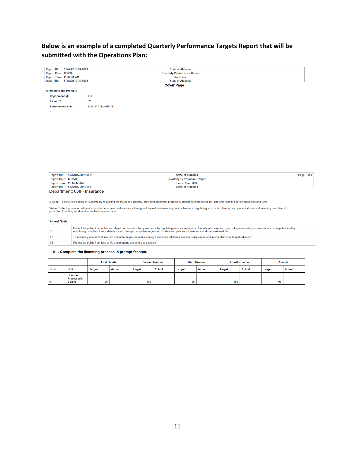## **Below is an example of a completed Quarterly Performance Targets Report that will be submitted with the Operations Plan:**

| <b>Report ID:</b><br>STAARS-QPR-0001                                                  |                   | <b>State of Alabama</b>                                                                                                                                                                |             |
|---------------------------------------------------------------------------------------|-------------------|----------------------------------------------------------------------------------------------------------------------------------------------------------------------------------------|-------------|
| <b>Report Date: 4/30/20</b><br>Report Time: 11:47:01 AM<br>Report ID: STAARS-QPR-0001 |                   | <b>Quarterly Performance Report</b>                                                                                                                                                    |             |
|                                                                                       |                   | <b>Fiscal Year</b>                                                                                                                                                                     |             |
|                                                                                       |                   | <b>State of Alabama</b>                                                                                                                                                                |             |
|                                                                                       |                   | <b>Cover Page</b>                                                                                                                                                                      |             |
| <b>Parameters and Prompts</b>                                                         |                   |                                                                                                                                                                                        |             |
| Department(s):                                                                        | 038               |                                                                                                                                                                                        |             |
| CY or FY:                                                                             | <b>FY</b>         |                                                                                                                                                                                        |             |
| <b>Performance Plan:</b>                                                              | 2020 STATEWIDE AL |                                                                                                                                                                                        |             |
|                                                                                       |                   |                                                                                                                                                                                        |             |
|                                                                                       |                   |                                                                                                                                                                                        |             |
|                                                                                       |                   |                                                                                                                                                                                        |             |
|                                                                                       |                   |                                                                                                                                                                                        |             |
|                                                                                       |                   |                                                                                                                                                                                        |             |
|                                                                                       |                   |                                                                                                                                                                                        |             |
|                                                                                       |                   |                                                                                                                                                                                        |             |
|                                                                                       |                   |                                                                                                                                                                                        |             |
|                                                                                       |                   |                                                                                                                                                                                        |             |
|                                                                                       |                   |                                                                                                                                                                                        |             |
|                                                                                       |                   |                                                                                                                                                                                        |             |
|                                                                                       |                   |                                                                                                                                                                                        |             |
|                                                                                       |                   |                                                                                                                                                                                        |             |
| STAARS-QPR-0001<br><b>Report ID:</b>                                                  |                   | <b>State of Alabama</b>                                                                                                                                                                | Page 1 of 4 |
| Report Date: 4/30/20                                                                  |                   | <b>Quarterly Performance Report</b>                                                                                                                                                    |             |
| <b>Report Time: 11:44:42 AM</b><br>Report ID: STAARS-QPR-0001                         |                   | <b>Fiscal Year 2020</b><br><b>State of Alabama</b>                                                                                                                                     |             |
|                                                                                       |                   |                                                                                                                                                                                        |             |
| Department: 038 - Insurance                                                           |                   |                                                                                                                                                                                        |             |
|                                                                                       |                   |                                                                                                                                                                                        |             |
|                                                                                       |                   | Mission: To serve the people of Alabama by regulating the insurance industry, providing consumer protection, promoting market stability, and enforcing fire safety standards and laws. |             |

Vision: To be the recognized benchmark for departments of insurance throughout the nation in meeting the challenges of regulating a dynamic, diverse, and global industry and ensuring our citizens'<br>protection from fire, fra

#### **Annual Goals**

| 01             | Protect the public from unfair and illegal practices involving insurance by regulating persons engaged in the sale of insurance by providing counseling and assistance to the public and by<br>monitoring compliance with state laws and through competent regulation of rates and policies for insurance and Preneed markets |
|----------------|-------------------------------------------------------------------------------------------------------------------------------------------------------------------------------------------------------------------------------------------------------------------------------------------------------------------------------|
| 02             | To efficiently ensure that insurers and other regulated entities doing business in Alabama are financially sound and in compliance with applicable law.                                                                                                                                                                       |
| 0 <sub>3</sub> | Protect the public from loss of life and property due to fire or explosion.                                                                                                                                                                                                                                                   |

#### 01 - Complete the licensing process in prompt fashion.

|      |                                           | <b>First Quarter</b> |               |               | <b>Second Quarter</b> |               | <b>Third Quarter</b> | <b>Fourth Quarter</b> |               | <b>Annual</b> |               |
|------|-------------------------------------------|----------------------|---------------|---------------|-----------------------|---------------|----------------------|-----------------------|---------------|---------------|---------------|
| Goal | Unit                                      | <b>Target</b>        | <b>Actual</b> | <b>Target</b> | <b>Actual</b>         | <b>Target</b> | <b>Actual</b>        | <b>Target</b>         | <b>Actual</b> | <b>Target</b> | <b>Actual</b> |
| 01   | Licenses<br><b>Processed in</b><br>3 Days | 100                  |               | 100           |                       | 100           |                      | 100                   |               | 100           |               |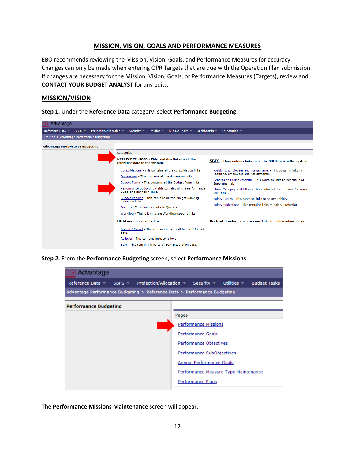#### **MISSION, VISION, GOALS AND PERFORMANCE MEASURES**

EBO recommends reviewing the Mission, Vision, Goals, and Performance Measures for accuracy. Changes can only be made when entering QPR Targets that are due with the Operation Plan submission. If changes are necessary for the Mission, Vision, Goals, or Performance Measures (Targets), review and **CONTACT YOUR BUDGET ANALYST** for any edits.

#### **MISSION/VISION**

**Step 1.** Under the **Reference Data** category, select **Performance Budgeting**.

| <b>CGI Advantage</b>                                               |                                                                                                                                                                                                                                                                                                                                                                                                                                                                      |                                                                                                                                                                                                                                                                                                                                                                                                           |
|--------------------------------------------------------------------|----------------------------------------------------------------------------------------------------------------------------------------------------------------------------------------------------------------------------------------------------------------------------------------------------------------------------------------------------------------------------------------------------------------------------------------------------------------------|-----------------------------------------------------------------------------------------------------------------------------------------------------------------------------------------------------------------------------------------------------------------------------------------------------------------------------------------------------------------------------------------------------------|
| Projection/Allocation =<br>Reference Data ▼<br>SBFS $\overline{ }$ | Utilities $\sim$<br>Budget Tasks -<br>Dashboards =<br>Security $\sim$                                                                                                                                                                                                                                                                                                                                                                                                | Integration $\sim$                                                                                                                                                                                                                                                                                                                                                                                        |
| Site Map > Advantage Performance Budgeting                         |                                                                                                                                                                                                                                                                                                                                                                                                                                                                      |                                                                                                                                                                                                                                                                                                                                                                                                           |
| <b>Advantage Performance Budgeting</b>                             |                                                                                                                                                                                                                                                                                                                                                                                                                                                                      |                                                                                                                                                                                                                                                                                                                                                                                                           |
|                                                                    | Categories                                                                                                                                                                                                                                                                                                                                                                                                                                                           |                                                                                                                                                                                                                                                                                                                                                                                                           |
|                                                                    | Reference Data - This contains links to all the<br>reference data in the system.                                                                                                                                                                                                                                                                                                                                                                                     | SBFS - This contains links to all the SBFS data in the system.                                                                                                                                                                                                                                                                                                                                            |
|                                                                    | Consolidations - This contains all the consolidation links.<br>Dimensions - This contains all the dimension links.<br>Budget Forms - This contains all the Budget Form links.<br>Performance Budgeting - This contains all the Performance<br>Budgeting definition links.<br>Budget Ranking - This contains all the Budget Ranking<br>definition links.<br><b>Queries - This contains links to Queries.</b><br>Workflow - The following are Workflow-specific links. | Positions, Employees and Assignments - This contains links to<br>Positions, Employees and Assignments.<br>Benefits and Supplemental - This contains links to Benefits and<br>Supplemental.<br>Class, Category and Other - This contains links to Class, Category<br>and Other.<br>Salary Tables - This contains links to Salary Tables.<br>Salary Projections - This contains links to Salary Projection. |
|                                                                    | Utilities - Links to utilities.                                                                                                                                                                                                                                                                                                                                                                                                                                      | <b>Budget Tasks</b> - This contains links to independent Views.                                                                                                                                                                                                                                                                                                                                           |
|                                                                    | Import / Export - This contains links to all Import / Export<br>data.<br>Rollover - This contains links to rollover.<br>ECM - This contains links to all ECM Integration data.                                                                                                                                                                                                                                                                                       |                                                                                                                                                                                                                                                                                                                                                                                                           |



| <b>GI Advantage</b>                                                                                                                                                                       |                                                                                                                                                                                                    |
|-------------------------------------------------------------------------------------------------------------------------------------------------------------------------------------------|----------------------------------------------------------------------------------------------------------------------------------------------------------------------------------------------------|
| Reference Data $\overline{\phantom{a}}$ SBFS $\overline{\phantom{a}}$ Projection/Allocation $\overline{\phantom{a}}$ Security $\overline{\phantom{a}}$ Utilities $\overline{\phantom{a}}$ | <b>Budget Tasks</b>                                                                                                                                                                                |
| Advantage Performance Budgeting > Reference Data > Performance Budgeting                                                                                                                  |                                                                                                                                                                                                    |
| <b>Performance Budgeting</b>                                                                                                                                                              | Pages<br><b>Performance Missions</b><br><b>Performance Goals</b><br>Performance Objectives<br>Performance SubObjectives<br><b>Annual Performance Goals</b><br>Performance Measure Type Maintenance |
|                                                                                                                                                                                           | Performance Plans                                                                                                                                                                                  |

The **Performance Missions Maintenance** screen will appear.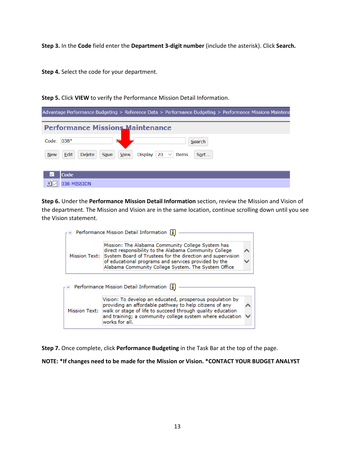**Step 3.** In the **Code** field enter the **Department 3-digit number** (include the asterisk). Click **Search.**

**Step 4.** Select the code for your department.

| Advantage Performance Budgeting > Reference Data > Performance Budgeting > Performance Missions Maintena |
|----------------------------------------------------------------------------------------------------------|
| <b>Performance Missions Maintenance</b>                                                                  |
| N-<br>Code: $038*$<br>Search                                                                             |
| Display $ 20 \rangle$ Thems<br>Edit<br>View<br><b>New</b><br><b>Delete</b><br>Save<br>Sort               |
|                                                                                                          |
| Code<br>038-MISSION                                                                                      |

**Step 5.** Click **VIEW** to verify the Performance Mission Detail Information.

**Step 6.** Under the **Performance Mission Detail Information** section, review the Mission and Vision of the department. The Mission and Vision are in the same location, continue scrolling down until you see the Vision statement.

| <b>Performance Mission Detail Information</b>                                                                                                                                                                                                                                                                    |  |  |  |  |  |
|------------------------------------------------------------------------------------------------------------------------------------------------------------------------------------------------------------------------------------------------------------------------------------------------------------------|--|--|--|--|--|
| Mission: The Alabama Community College System has<br>direct responsibility to the Alabama Community College<br>System Board of Trustees for the direction and supervision<br><b>Mission Text:</b><br>of educational programs and services provided by the<br>Alabama Community College System. The System Office |  |  |  |  |  |
| Performance Mission Detail Information                                                                                                                                                                                                                                                                           |  |  |  |  |  |
|                                                                                                                                                                                                                                                                                                                  |  |  |  |  |  |

**Step 7.** Once complete, click **Performance Budgeting** in the Task Bar at the top of the page.

**NOTE: \*If changes need to be made for the Mission or Vision. \*CONTACT YOUR BUDGET ANALYST**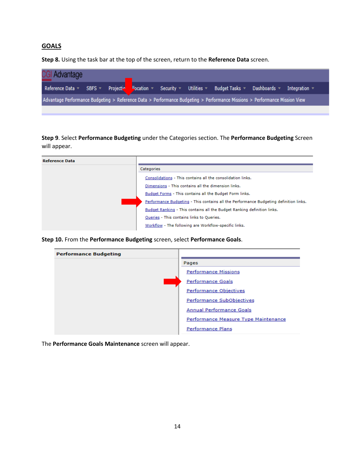## **GOALS**

**Step 8.** Using the task bar at the top of the screen, return to the **Reference Data** screen.

| Reference Data ▼ SBFS ▼ Projection <mark>Departion マ Security マ Utilities マ Budget Tasks マ Dashboards マ Integration マ</mark> | <b>CGI Advantage</b> |  |  |  |  |  |
|------------------------------------------------------------------------------------------------------------------------------|----------------------|--|--|--|--|--|
|                                                                                                                              |                      |  |  |  |  |  |
| Advantage Performance Budgeting > Reference Data > Performance Budgeting > Performance Missions > Performance Mission View   |                      |  |  |  |  |  |

**Step 9**. Select **Performance Budgeting** under the Categories section. The **Performance Budgeting** Screen will appear.

| <b>Reference Data</b> |                                                                                       |
|-----------------------|---------------------------------------------------------------------------------------|
|                       | Categories                                                                            |
|                       | Consolidations - This contains all the consolidation links.                           |
|                       | Dimensions - This contains all the dimension links.                                   |
|                       | Budget Forms - This contains all the Budget Form links.                               |
|                       | Performance Budgeting - This contains all the Performance Budgeting definition links. |
|                       | Budget Ranking - This contains all the Budget Ranking definition links.               |
|                       | Queries - This contains links to Queries.                                             |
|                       | Workflow - The following are Workflow-specific links.                                 |

**Step 10.** From the **Performance Budgeting** screen, select **Performance Goals**.

| <b>Performance Budgeting</b> |                                      |
|------------------------------|--------------------------------------|
|                              | Pages                                |
|                              | <b>Performance Missions</b>          |
|                              | <b>Performance Goals</b>             |
|                              | <b>Performance Objectives</b>        |
|                              | Performance SubObjectives            |
|                              | Annual Performance Goals             |
|                              | Performance Measure Type Maintenance |
|                              | <b>Performance Plans</b>             |

The **Performance Goals Maintenance** screen will appear.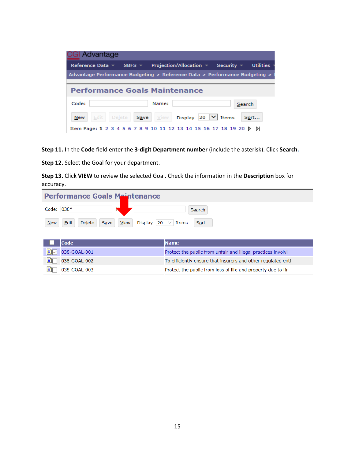| CGI Advantage                                                              |                               |                                                                   |                  |  |  |
|----------------------------------------------------------------------------|-------------------------------|-------------------------------------------------------------------|------------------|--|--|
| Reference Data $\sim$                                                      | SBFS $\overline{ }$           | Projection/Allocation $\blacktriangledown$<br>Security $\equiv$   | <b>Utilities</b> |  |  |
| Advantage Performance Budgeting > Reference Data > Performance Budgeting > |                               |                                                                   |                  |  |  |
|                                                                            |                               |                                                                   |                  |  |  |
| <b>Performance Goals Maintenance</b>                                       |                               |                                                                   |                  |  |  |
| Code:                                                                      | Name:                         |                                                                   | Search           |  |  |
| Edit  <br><b>New</b>                                                       | View<br>Save<br><b>Delete</b> | Display 20 $\vert \vee \vert$ Items                               | Sort             |  |  |
|                                                                            |                               | Item Page: 1 2 3 4 5 6 7 8 9 10 11 12 13 14 15 16 17 18 19 20 ▷ D |                  |  |  |

**Step 11.** In the **Code** field enter the **3-digit Department number** (include the asterisk). Click **Search.**

**Step 12.** Select the Goal for your department.

**Step 13.** Click **VIEW** to review the selected Goal. Check the information in the **Description** box for accuracy.

| <b>Performance Goals Maintenance</b> |                               |                                                   |        |  |
|--------------------------------------|-------------------------------|---------------------------------------------------|--------|--|
| Code: 038*                           |                               | $\sim$                                            | Search |  |
| <b>New</b>                           | Edit<br><b>Delete</b><br>Save | Display $ 20 \rangle \vee  $ Items<br><b>View</b> | Sort   |  |

|    | <b>Code</b>                         | <b>Name</b>                                                  |
|----|-------------------------------------|--------------------------------------------------------------|
|    | <b>D</b> <sub>O</sub> 038-GOAL-001  | Protect the public from unfair and illegal practices involvi |
|    | $\boxed{\blacksquare}$ 038-GOAL-002 | To efficiently ensure that insurers and other regulated enti |
| EГ | 038-GOAL-003                        | Protect the public from loss of life and property due to fir |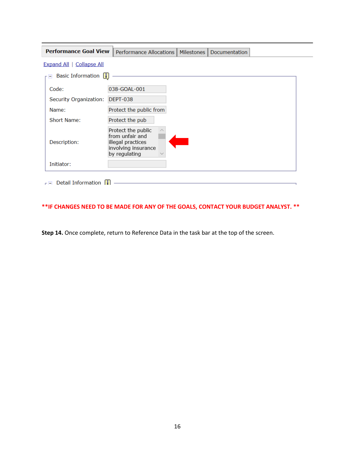| <b>Performance Goal View</b>     | Performance Allocations<br>Milestones  <br>Documentation                                           |  |
|----------------------------------|----------------------------------------------------------------------------------------------------|--|
| <b>Expand All   Collapse All</b> |                                                                                                    |  |
| <b>Basic Information</b>         |                                                                                                    |  |
| Code:                            | 038-GOAL-001                                                                                       |  |
| Security Organization:           | <b>DEPT-038</b>                                                                                    |  |
| Name:                            | Protect the public from                                                                            |  |
| Short Name:                      | Protect the pub                                                                                    |  |
| Description:                     | Protect the public<br>from unfair and<br>illegal practices<br>involving insurance<br>by regulating |  |
| Initiator:                       |                                                                                                    |  |
| <b>Detail Information</b>        |                                                                                                    |  |

## **\*\*IF CHANGES NEED TO BE MADE FOR ANY OF THE GOALS, CONTACT YOUR BUDGET ANALYST. \*\***

**Step 14.** Once complete, return to Reference Data in the task bar at the top of the screen.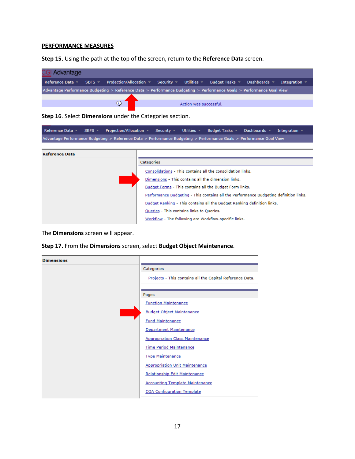#### **PERFORMANCE MEASURES**

**Step 15.** Using the path at the top of the screen, return to the **Reference Data** screen.

| Projection/Allocation $\forall$ Security $\forall$ Utilities $\forall$ Budget Tasks $\forall$ Dashboards $\forall$<br>Reference Data $\sqrt{ }$<br>$SBFS =$<br>Integration $\sim$ |
|-----------------------------------------------------------------------------------------------------------------------------------------------------------------------------------|
|                                                                                                                                                                                   |
| Advantage Performance Budgeting > Reference Data > Performance Budgeting > Performance Goals > Performance Goal View                                                              |
|                                                                                                                                                                                   |
| э<br>Action was successful.                                                                                                                                                       |

**Step 16**. Select **Dimensions** under the Categories section.

Reference Data  $\sqrt{ }$ SBFS  $\neq$ Projection/Allocation  $\sqrt{*}$  Security  $\sqrt{*}$  Utilities  $\sqrt{*}$ Budget Tasks Dashboards  $\star$ Integration  $\sim$ Advantage Performance Budgeting > Reference Data > Performance Budgeting > Performance Goals > Performance Goal View

| <b>Reference Data</b> |                                                                                       |
|-----------------------|---------------------------------------------------------------------------------------|
|                       | Categories                                                                            |
|                       | Consolidations - This contains all the consolidation links.                           |
|                       | Dimensions - This contains all the dimension links.                                   |
|                       | Budget Forms - This contains all the Budget Form links.                               |
|                       | Performance Budgeting - This contains all the Performance Budgeting definition links. |
|                       | Budget Ranking - This contains all the Budget Ranking definition links.               |
|                       | Queries - This contains links to Queries.                                             |
|                       | Workflow - The following are Workflow-specific links.                                 |

The **Dimensions** screen will appear.

|  | Step 17. From the Dimensions screen, select Budget Object Maintenance. |  |  |
|--|------------------------------------------------------------------------|--|--|
|--|------------------------------------------------------------------------|--|--|